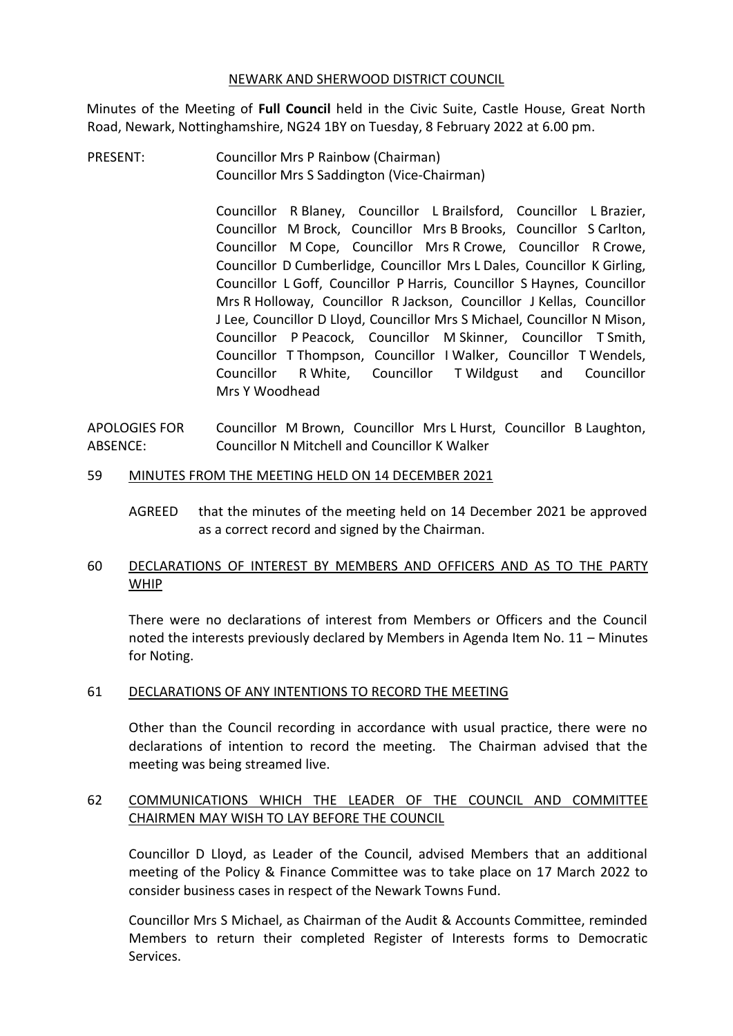#### NEWARK AND SHERWOOD DISTRICT COUNCIL

Minutes of the Meeting of **Full Council** held in the Civic Suite, Castle House, Great North Road, Newark, Nottinghamshire, NG24 1BY on Tuesday, 8 February 2022 at 6.00 pm.

PRESENT: Councillor Mrs P Rainbow (Chairman) Councillor Mrs S Saddington (Vice-Chairman)

> Councillor R Blaney, Councillor L Brailsford, Councillor L Brazier, Councillor M Brock, Councillor Mrs B Brooks, Councillor S Carlton, Councillor M Cope, Councillor Mrs R Crowe, Councillor R Crowe, Councillor D Cumberlidge, Councillor Mrs L Dales, Councillor K Girling, Councillor L Goff, Councillor P Harris, Councillor S Haynes, Councillor Mrs R Holloway, Councillor R Jackson, Councillor J Kellas, Councillor J Lee, Councillor D Lloyd, Councillor Mrs S Michael, Councillor N Mison, Councillor P Peacock, Councillor M Skinner, Councillor T Smith, Councillor T Thompson, Councillor I Walker, Councillor T Wendels, Councillor R White, Councillor T Wildgust and Councillor Mrs Y Woodhead

APOLOGIES FOR ABSENCE: Councillor M Brown, Councillor Mrs L Hurst, Councillor B Laughton, Councillor N Mitchell and Councillor K Walker

#### 59 MINUTES FROM THE MEETING HELD ON 14 DECEMBER 2021

AGREED that the minutes of the meeting held on 14 December 2021 be approved as a correct record and signed by the Chairman.

# 60 DECLARATIONS OF INTEREST BY MEMBERS AND OFFICERS AND AS TO THE PARTY WHIP

There were no declarations of interest from Members or Officers and the Council noted the interests previously declared by Members in Agenda Item No. 11 – Minutes for Noting.

### 61 DECLARATIONS OF ANY INTENTIONS TO RECORD THE MEETING

Other than the Council recording in accordance with usual practice, there were no declarations of intention to record the meeting. The Chairman advised that the meeting was being streamed live.

## 62 COMMUNICATIONS WHICH THE LEADER OF THE COUNCIL AND COMMITTEE CHAIRMEN MAY WISH TO LAY BEFORE THE COUNCIL

Councillor D Lloyd, as Leader of the Council, advised Members that an additional meeting of the Policy & Finance Committee was to take place on 17 March 2022 to consider business cases in respect of the Newark Towns Fund.

Councillor Mrs S Michael, as Chairman of the Audit & Accounts Committee, reminded Members to return their completed Register of Interests forms to Democratic Services.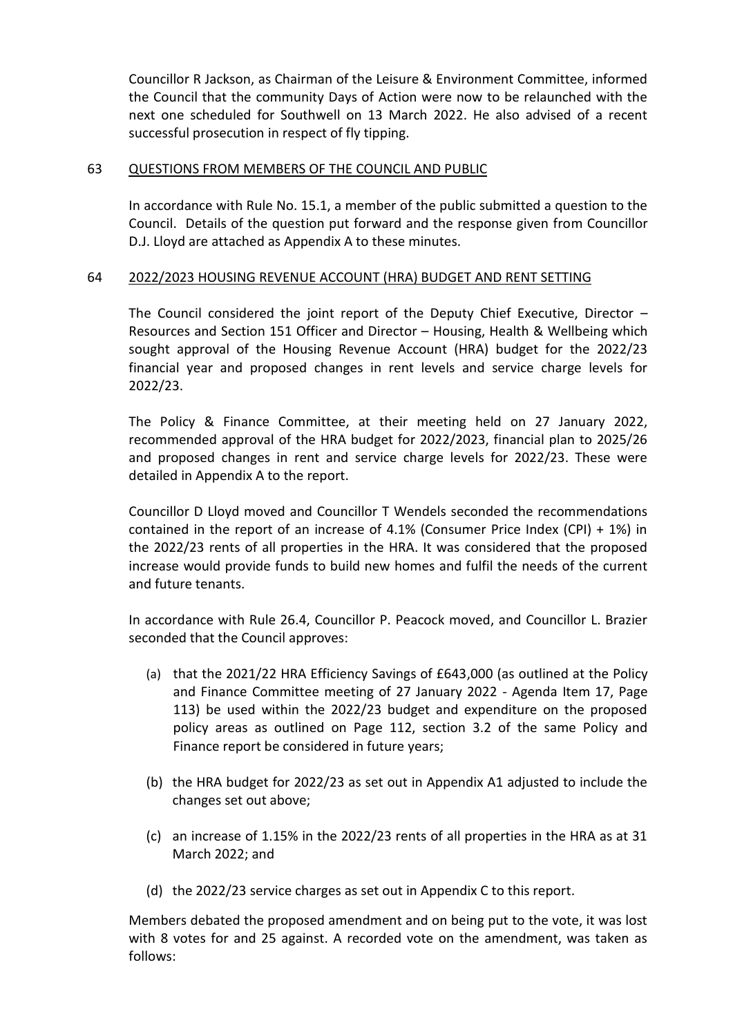Councillor R Jackson, as Chairman of the Leisure & Environment Committee, informed the Council that the community Days of Action were now to be relaunched with the next one scheduled for Southwell on 13 March 2022. He also advised of a recent successful prosecution in respect of fly tipping.

### 63 QUESTIONS FROM MEMBERS OF THE COUNCIL AND PUBLIC

In accordance with Rule No. 15.1, a member of the public submitted a question to the Council. Details of the question put forward and the response given from Councillor D.J. Lloyd are attached as Appendix A to these minutes.

## 64 2022/2023 HOUSING REVENUE ACCOUNT (HRA) BUDGET AND RENT SETTING

The Council considered the joint report of the Deputy Chief Executive, Director – Resources and Section 151 Officer and Director – Housing, Health & Wellbeing which sought approval of the Housing Revenue Account (HRA) budget for the 2022/23 financial year and proposed changes in rent levels and service charge levels for 2022/23.

The Policy & Finance Committee, at their meeting held on 27 January 2022, recommended approval of the HRA budget for 2022/2023, financial plan to 2025/26 and proposed changes in rent and service charge levels for 2022/23. These were detailed in Appendix A to the report.

Councillor D Lloyd moved and Councillor T Wendels seconded the recommendations contained in the report of an increase of 4.1% (Consumer Price Index (CPI) + 1%) in the 2022/23 rents of all properties in the HRA. It was considered that the proposed increase would provide funds to build new homes and fulfil the needs of the current and future tenants.

In accordance with Rule 26.4, Councillor P. Peacock moved, and Councillor L. Brazier seconded that the Council approves:

- (a) that the 2021/22 HRA Efficiency Savings of £643,000 (as outlined at the Policy and Finance Committee meeting of 27 January 2022 - Agenda Item 17, Page 113) be used within the 2022/23 budget and expenditure on the proposed policy areas as outlined on Page 112, section 3.2 of the same Policy and Finance report be considered in future years;
- (b) the HRA budget for 2022/23 as set out in Appendix A1 adjusted to include the changes set out above;
- (c) an increase of 1.15% in the 2022/23 rents of all properties in the HRA as at 31 March 2022; and
- (d) the 2022/23 service charges as set out in Appendix C to this report.

Members debated the proposed amendment and on being put to the vote, it was lost with 8 votes for and 25 against. A recorded vote on the amendment, was taken as follows: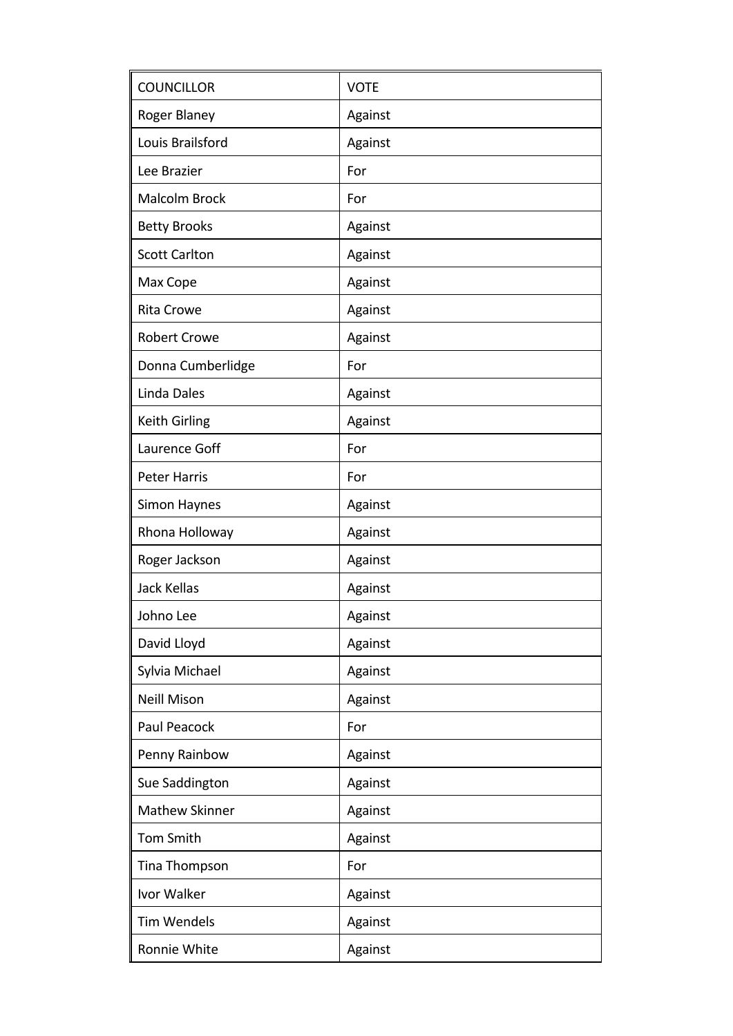| <b>COUNCILLOR</b>     | <b>VOTE</b> |
|-----------------------|-------------|
| Roger Blaney          | Against     |
| Louis Brailsford      | Against     |
| Lee Brazier           | For         |
| Malcolm Brock         | For         |
| <b>Betty Brooks</b>   | Against     |
| <b>Scott Carlton</b>  | Against     |
| Max Cope              | Against     |
| <b>Rita Crowe</b>     | Against     |
| <b>Robert Crowe</b>   | Against     |
| Donna Cumberlidge     | For         |
| Linda Dales           | Against     |
| <b>Keith Girling</b>  | Against     |
| Laurence Goff         | For         |
| <b>Peter Harris</b>   | For         |
| Simon Haynes          | Against     |
| Rhona Holloway        | Against     |
| Roger Jackson         | Against     |
| <b>Jack Kellas</b>    | Against     |
| Johno Lee             | Against     |
| David Lloyd           | Against     |
| Sylvia Michael        | Against     |
| <b>Neill Mison</b>    | Against     |
| Paul Peacock          | For         |
| Penny Rainbow         | Against     |
| Sue Saddington        | Against     |
| <b>Mathew Skinner</b> | Against     |
| <b>Tom Smith</b>      | Against     |
| Tina Thompson         | For         |
| Ivor Walker           | Against     |
| <b>Tim Wendels</b>    | Against     |
| Ronnie White          | Against     |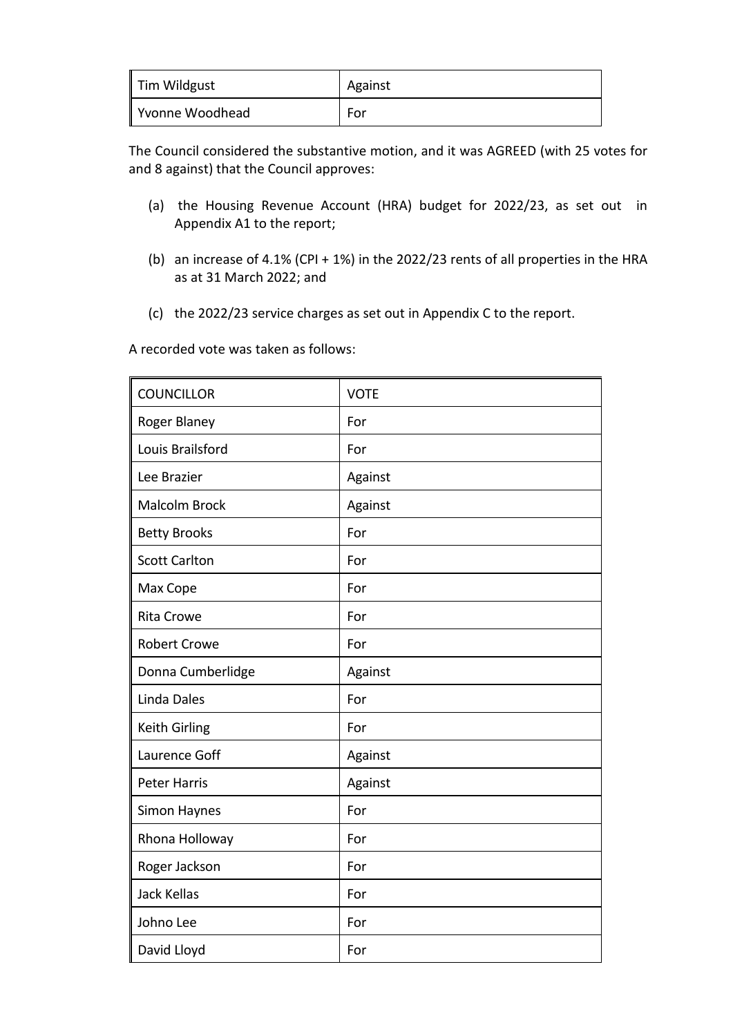| Tim Wildgust    | Against |
|-----------------|---------|
| Yvonne Woodhead | For     |

The Council considered the substantive motion, and it was AGREED (with 25 votes for and 8 against) that the Council approves:

- (a) the Housing Revenue Account (HRA) budget for 2022/23, as set out in Appendix A1 to the report;
- (b) an increase of 4.1% (CPI + 1%) in the 2022/23 rents of all properties in the HRA as at 31 March 2022; and
- (c) the 2022/23 service charges as set out in Appendix C to the report.

A recorded vote was taken as follows:

| <b>COUNCILLOR</b>    | <b>VOTE</b> |
|----------------------|-------------|
| Roger Blaney         | For         |
| Louis Brailsford     | For         |
| Lee Brazier          | Against     |
| <b>Malcolm Brock</b> | Against     |
| <b>Betty Brooks</b>  | For         |
| <b>Scott Carlton</b> | For         |
| Max Cope             | For         |
| <b>Rita Crowe</b>    | For         |
| <b>Robert Crowe</b>  | For         |
| Donna Cumberlidge    | Against     |
| <b>Linda Dales</b>   | For         |
| Keith Girling        | For         |
| Laurence Goff        | Against     |
| <b>Peter Harris</b>  | Against     |
| Simon Haynes         | For         |
| Rhona Holloway       | For         |
| Roger Jackson        | For         |
| <b>Jack Kellas</b>   | For         |
| Johno Lee            | For         |
| David Lloyd          | For         |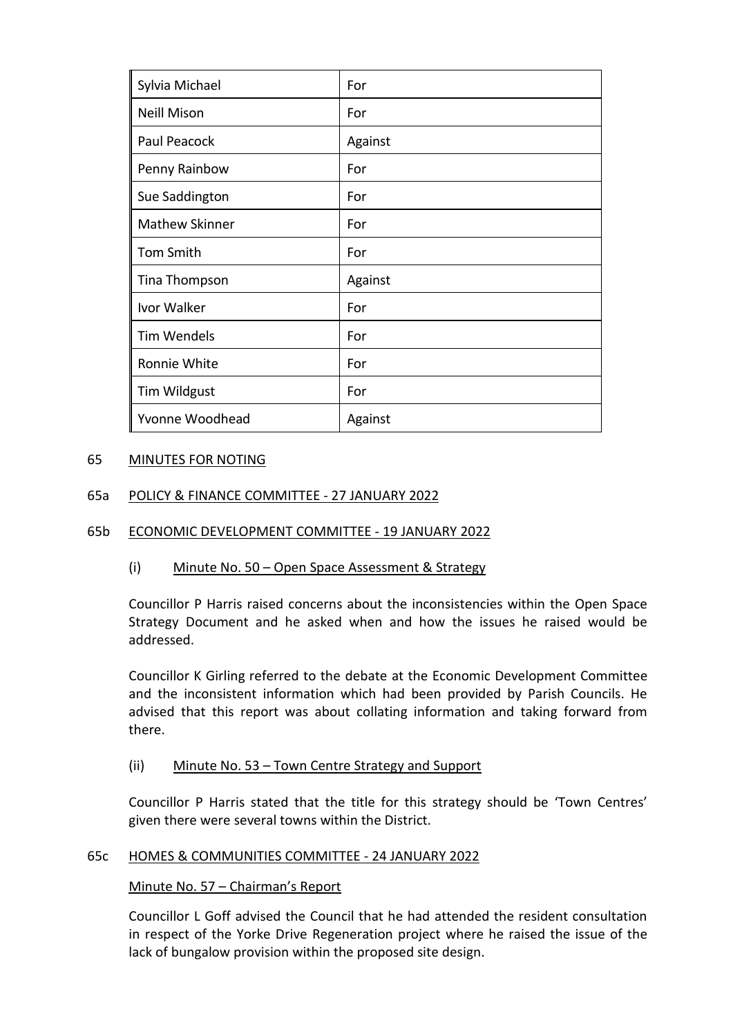| Sylvia Michael        | For     |
|-----------------------|---------|
| <b>Neill Mison</b>    | For     |
| Paul Peacock          | Against |
| Penny Rainbow         | For     |
| Sue Saddington        | For     |
| <b>Mathew Skinner</b> | For     |
| <b>Tom Smith</b>      | For     |
| Tina Thompson         | Against |
| Ivor Walker           | For     |
| <b>Tim Wendels</b>    | For     |
| Ronnie White          | For     |
| Tim Wildgust          | For     |
| Yvonne Woodhead       | Against |

## 65 MINUTES FOR NOTING

## 65a POLICY & FINANCE COMMITTEE - 27 JANUARY 2022

### 65b ECONOMIC DEVELOPMENT COMMITTEE - 19 JANUARY 2022

### (i) Minute No. 50 – Open Space Assessment & Strategy

Councillor P Harris raised concerns about the inconsistencies within the Open Space Strategy Document and he asked when and how the issues he raised would be addressed.

Councillor K Girling referred to the debate at the Economic Development Committee and the inconsistent information which had been provided by Parish Councils. He advised that this report was about collating information and taking forward from there.

### (ii) Minute No. 53 – Town Centre Strategy and Support

Councillor P Harris stated that the title for this strategy should be 'Town Centres' given there were several towns within the District.

### 65c HOMES & COMMUNITIES COMMITTEE - 24 JANUARY 2022

### Minute No. 57 – Chairman's Report

Councillor L Goff advised the Council that he had attended the resident consultation in respect of the Yorke Drive Regeneration project where he raised the issue of the lack of bungalow provision within the proposed site design.